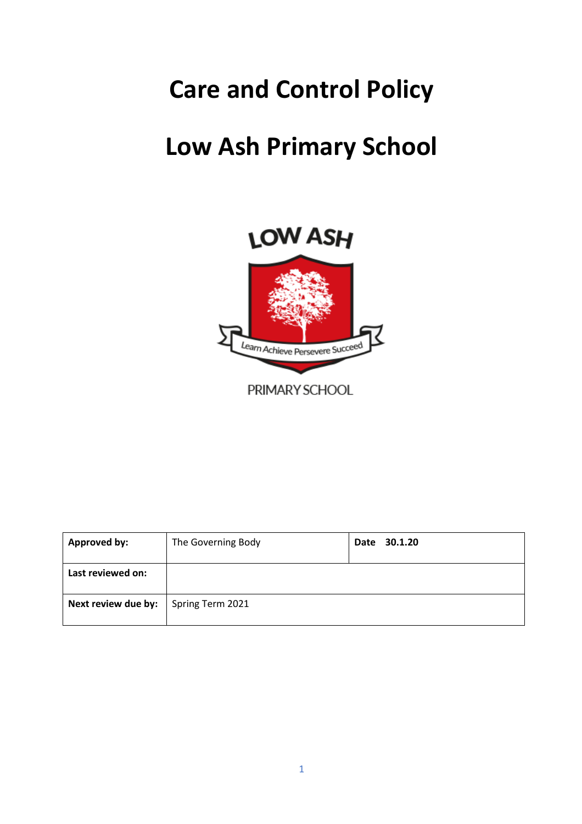# **Care and Control Policy**

# **Low Ash Primary School**





PRIMARY SCHOOL

| <b>Approved by:</b> | The Governing Body | Date 30.1.20 |
|---------------------|--------------------|--------------|
| Last reviewed on:   |                    |              |
| Next review due by: | Spring Term 2021   |              |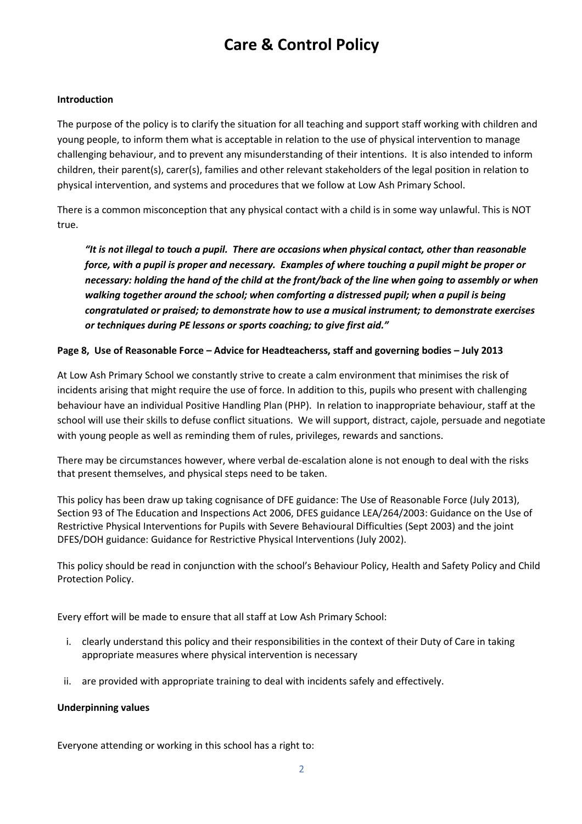# **Care & Control Policy**

#### **Introduction**

The purpose of the policy is to clarify the situation for all teaching and support staff working with children and young people, to inform them what is acceptable in relation to the use of physical intervention to manage challenging behaviour, and to prevent any misunderstanding of their intentions. It is also intended to inform children, their parent(s), carer(s), families and other relevant stakeholders of the legal position in relation to physical intervention, and systems and procedures that we follow at Low Ash Primary School.

There is a common misconception that any physical contact with a child is in some way unlawful. This is NOT true.

*"It is not illegal to touch a pupil. There are occasions when physical contact, other than reasonable force, with a pupil is proper and necessary. Examples of where touching a pupil might be proper or necessary: holding the hand of the child at the front/back of the line when going to assembly or when walking together around the school; when comforting a distressed pupil; when a pupil is being congratulated or praised; to demonstrate how to use a musical instrument; to demonstrate exercises or techniques during PE lessons or sports coaching; to give first aid."*

#### **Page 8, Use of Reasonable Force – Advice for Headteacherss, staff and governing bodies – July 2013**

At Low Ash Primary School we constantly strive to create a calm environment that minimises the risk of incidents arising that might require the use of force. In addition to this, pupils who present with challenging behaviour have an individual Positive Handling Plan (PHP). In relation to inappropriate behaviour, staff at the school will use their skills to defuse conflict situations. We will support, distract, cajole, persuade and negotiate with young people as well as reminding them of rules, privileges, rewards and sanctions.

There may be circumstances however, where verbal de-escalation alone is not enough to deal with the risks that present themselves, and physical steps need to be taken.

This policy has been draw up taking cognisance of DFE guidance: The Use of Reasonable Force (July 2013), Section 93 of The Education and Inspections Act 2006, DFES guidance LEA/264/2003: Guidance on the Use of Restrictive Physical Interventions for Pupils with Severe Behavioural Difficulties (Sept 2003) and the joint DFES/DOH guidance: Guidance for Restrictive Physical Interventions (July 2002).

This policy should be read in conjunction with the school's Behaviour Policy, Health and Safety Policy and Child Protection Policy.

Every effort will be made to ensure that all staff at Low Ash Primary School:

- i. clearly understand this policy and their responsibilities in the context of their Duty of Care in taking appropriate measures where physical intervention is necessary
- ii. are provided with appropriate training to deal with incidents safely and effectively.

#### **Underpinning values**

Everyone attending or working in this school has a right to: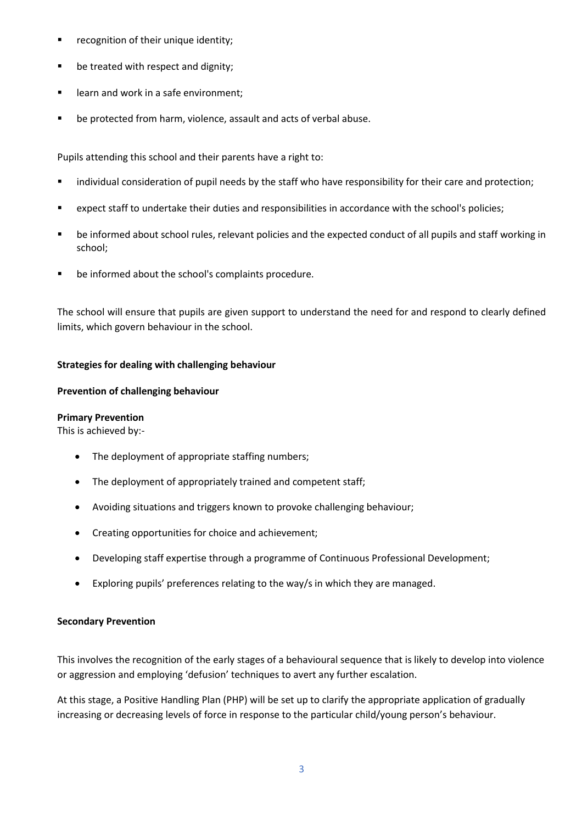- **•** recognition of their unique identity;
- be treated with respect and dignity;
- **EXEC** learn and work in a safe environment;
- be protected from harm, violence, assault and acts of verbal abuse.

Pupils attending this school and their parents have a right to:

- individual consideration of pupil needs by the staff who have responsibility for their care and protection;
- expect staff to undertake their duties and responsibilities in accordance with the school's policies;
- be informed about school rules, relevant policies and the expected conduct of all pupils and staff working in school;
- be informed about the school's complaints procedure.

The school will ensure that pupils are given support to understand the need for and respond to clearly defined limits, which govern behaviour in the school.

#### **Strategies for dealing with challenging behaviour**

#### **Prevention of challenging behaviour**

#### **Primary Prevention**

This is achieved by:-

- The deployment of appropriate staffing numbers;
- The deployment of appropriately trained and competent staff;
- Avoiding situations and triggers known to provoke challenging behaviour;
- Creating opportunities for choice and achievement;
- Developing staff expertise through a programme of Continuous Professional Development;
- Exploring pupils' preferences relating to the way/s in which they are managed.

#### **Secondary Prevention**

This involves the recognition of the early stages of a behavioural sequence that is likely to develop into violence or aggression and employing 'defusion' techniques to avert any further escalation.

At this stage, a Positive Handling Plan (PHP) will be set up to clarify the appropriate application of gradually increasing or decreasing levels of force in response to the particular child/young person's behaviour.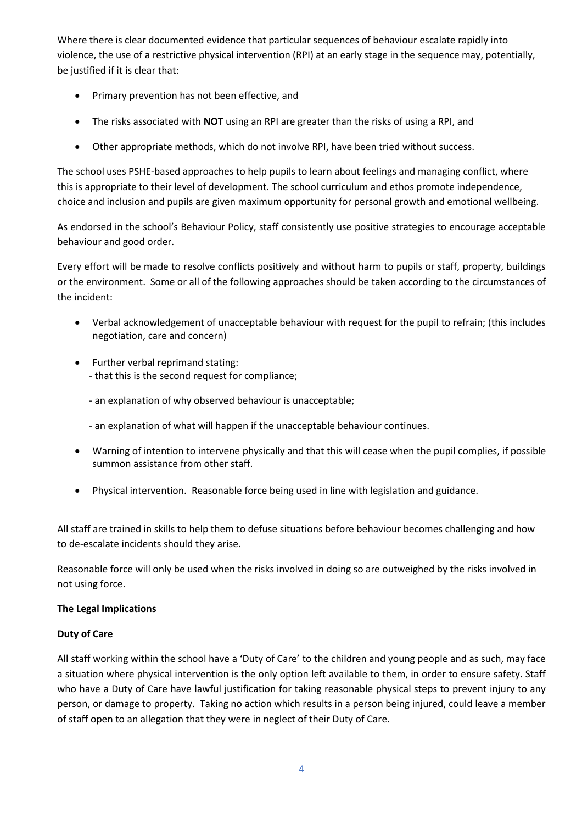Where there is clear documented evidence that particular sequences of behaviour escalate rapidly into violence, the use of a restrictive physical intervention (RPI) at an early stage in the sequence may, potentially, be justified if it is clear that:

- Primary prevention has not been effective, and
- The risks associated with **NOT** using an RPI are greater than the risks of using a RPI, and
- Other appropriate methods, which do not involve RPI, have been tried without success.

The school uses PSHE-based approaches to help pupils to learn about feelings and managing conflict, where this is appropriate to their level of development. The school curriculum and ethos promote independence, choice and inclusion and pupils are given maximum opportunity for personal growth and emotional wellbeing.

As endorsed in the school's Behaviour Policy, staff consistently use positive strategies to encourage acceptable behaviour and good order.

Every effort will be made to resolve conflicts positively and without harm to pupils or staff, property, buildings or the environment. Some or all of the following approaches should be taken according to the circumstances of the incident:

- Verbal acknowledgement of unacceptable behaviour with request for the pupil to refrain; (this includes negotiation, care and concern)
- Further verbal reprimand stating: - that this is the second request for compliance;
	- an explanation of why observed behaviour is unacceptable;
	- an explanation of what will happen if the unacceptable behaviour continues.
- Warning of intention to intervene physically and that this will cease when the pupil complies, if possible summon assistance from other staff.
- Physical intervention. Reasonable force being used in line with legislation and guidance.

All staff are trained in skills to help them to defuse situations before behaviour becomes challenging and how to de-escalate incidents should they arise.

Reasonable force will only be used when the risks involved in doing so are outweighed by the risks involved in not using force.

#### **The Legal Implications**

#### **Duty of Care**

All staff working within the school have a 'Duty of Care' to the children and young people and as such, may face a situation where physical intervention is the only option left available to them, in order to ensure safety. Staff who have a Duty of Care have lawful justification for taking reasonable physical steps to prevent injury to any person, or damage to property. Taking no action which results in a person being injured, could leave a member of staff open to an allegation that they were in neglect of their Duty of Care.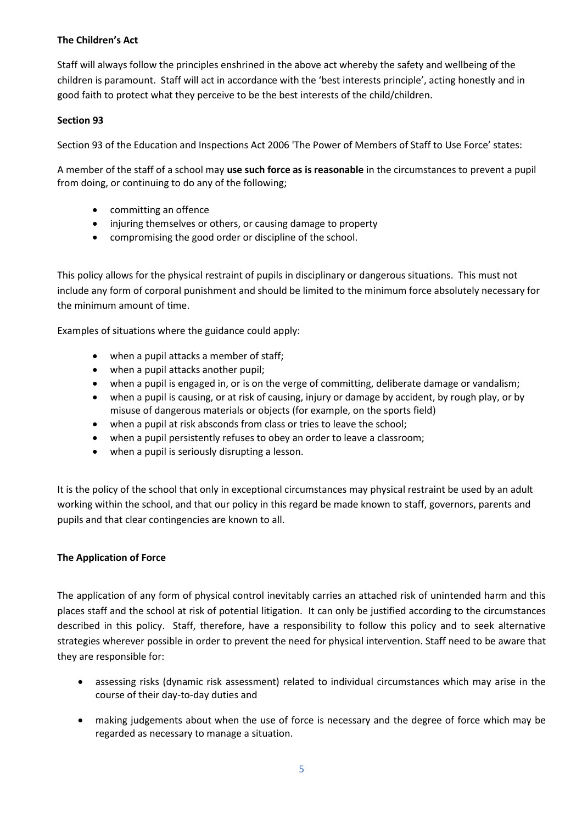# **The Children's Act**

Staff will always follow the principles enshrined in the above act whereby the safety and wellbeing of the children is paramount. Staff will act in accordance with the 'best interests principle', acting honestly and in good faith to protect what they perceive to be the best interests of the child/children.

# **Section 93**

Section 93 of the Education and Inspections Act 2006 'The Power of Members of Staff to Use Force' states:

A member of the staff of a school may **use such force as is reasonable** in the circumstances to prevent a pupil from doing, or continuing to do any of the following;

- committing an offence
- injuring themselves or others, or causing damage to property
- compromising the good order or discipline of the school.

This policy allows for the physical restraint of pupils in disciplinary or dangerous situations. This must not include any form of corporal punishment and should be limited to the minimum force absolutely necessary for the minimum amount of time.

Examples of situations where the guidance could apply:

- when a pupil attacks a member of staff;
- when a pupil attacks another pupil;
- when a pupil is engaged in, or is on the verge of committing, deliberate damage or vandalism;
- when a pupil is causing, or at risk of causing, injury or damage by accident, by rough play, or by misuse of dangerous materials or objects (for example, on the sports field)
- when a pupil at risk absconds from class or tries to leave the school;
- when a pupil persistently refuses to obey an order to leave a classroom;
- when a pupil is seriously disrupting a lesson.

It is the policy of the school that only in exceptional circumstances may physical restraint be used by an adult working within the school, and that our policy in this regard be made known to staff, governors, parents and pupils and that clear contingencies are known to all.

# **The Application of Force**

The application of any form of physical control inevitably carries an attached risk of unintended harm and this places staff and the school at risk of potential litigation. It can only be justified according to the circumstances described in this policy. Staff, therefore, have a responsibility to follow this policy and to seek alternative strategies wherever possible in order to prevent the need for physical intervention. Staff need to be aware that they are responsible for:

- assessing risks (dynamic risk assessment) related to individual circumstances which may arise in the course of their day-to-day duties and
- making judgements about when the use of force is necessary and the degree of force which may be regarded as necessary to manage a situation.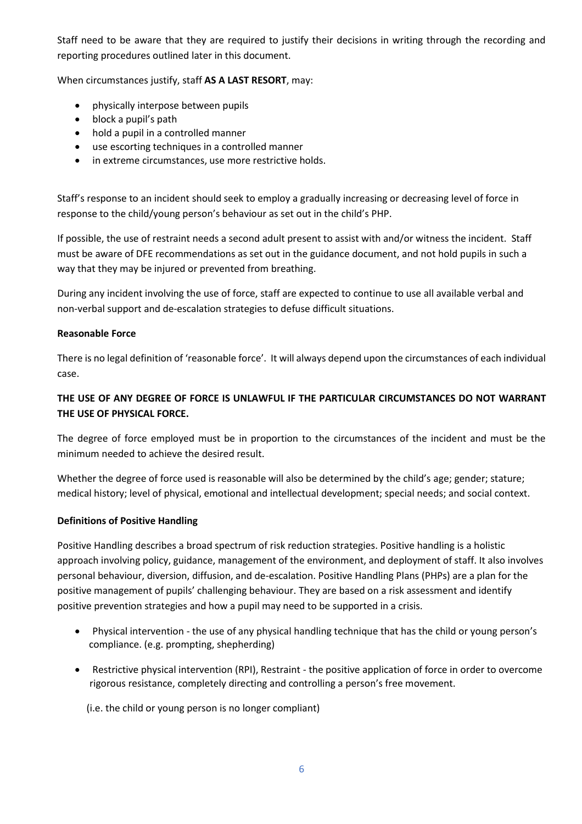Staff need to be aware that they are required to justify their decisions in writing through the recording and reporting procedures outlined later in this document.

When circumstances justify, staff **AS A LAST RESORT**, may:

- physically interpose between pupils
- block a pupil's path
- hold a pupil in a controlled manner
- use escorting techniques in a controlled manner
- in extreme circumstances, use more restrictive holds.

Staff's response to an incident should seek to employ a gradually increasing or decreasing level of force in response to the child/young person's behaviour as set out in the child's PHP.

If possible, the use of restraint needs a second adult present to assist with and/or witness the incident. Staff must be aware of DFE recommendations as set out in the guidance document, and not hold pupils in such a way that they may be injured or prevented from breathing.

During any incident involving the use of force, staff are expected to continue to use all available verbal and non-verbal support and de-escalation strategies to defuse difficult situations.

#### **Reasonable Force**

There is no legal definition of 'reasonable force'. It will always depend upon the circumstances of each individual case.

# **THE USE OF ANY DEGREE OF FORCE IS UNLAWFUL IF THE PARTICULAR CIRCUMSTANCES DO NOT WARRANT THE USE OF PHYSICAL FORCE.**

The degree of force employed must be in proportion to the circumstances of the incident and must be the minimum needed to achieve the desired result.

Whether the degree of force used is reasonable will also be determined by the child's age; gender; stature; medical history; level of physical, emotional and intellectual development; special needs; and social context.

# **Definitions of Positive Handling**

Positive Handling describes a broad spectrum of risk reduction strategies. Positive handling is a holistic approach involving policy, guidance, management of the environment, and deployment of staff. It also involves personal behaviour, diversion, diffusion, and de-escalation. Positive Handling Plans (PHPs) are a plan for the positive management of pupils' challenging behaviour. They are based on a risk assessment and identify positive prevention strategies and how a pupil may need to be supported in a crisis.

- Physical intervention the use of any physical handling technique that has the child or young person's compliance. (e.g. prompting, shepherding)
- Restrictive physical intervention (RPI), Restraint the positive application of force in order to overcome rigorous resistance, completely directing and controlling a person's free movement.

(i.e. the child or young person is no longer compliant)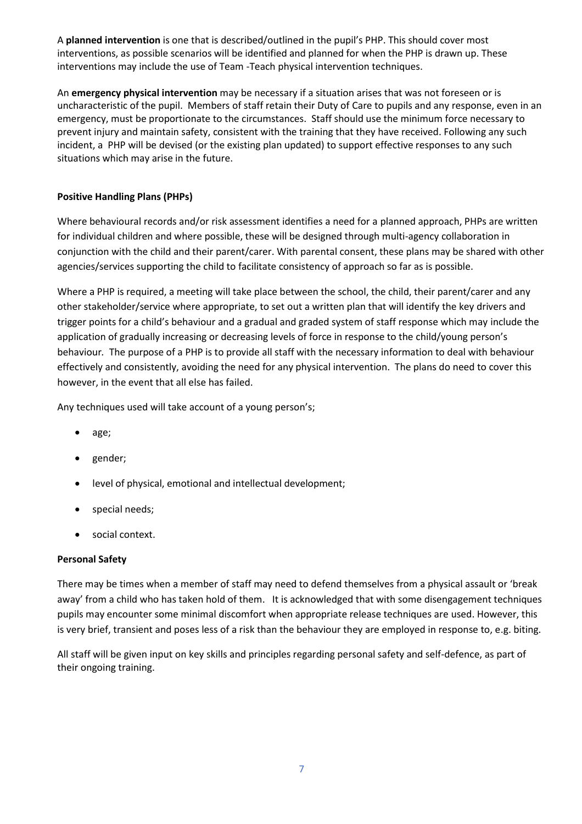A **planned intervention** is one that is described/outlined in the pupil's PHP. This should cover most interventions, as possible scenarios will be identified and planned for when the PHP is drawn up. These interventions may include the use of Team -Teach physical intervention techniques.

An **emergency physical intervention** may be necessary if a situation arises that was not foreseen or is uncharacteristic of the pupil. Members of staff retain their Duty of Care to pupils and any response, even in an emergency, must be proportionate to the circumstances. Staff should use the minimum force necessary to prevent injury and maintain safety, consistent with the training that they have received. Following any such incident, a PHP will be devised (or the existing plan updated) to support effective responses to any such situations which may arise in the future.

# **Positive Handling Plans (PHPs)**

Where behavioural records and/or risk assessment identifies a need for a planned approach, PHPs are written for individual children and where possible, these will be designed through multi-agency collaboration in conjunction with the child and their parent/carer. With parental consent, these plans may be shared with other agencies/services supporting the child to facilitate consistency of approach so far as is possible.

Where a PHP is required, a meeting will take place between the school, the child, their parent/carer and any other stakeholder/service where appropriate, to set out a written plan that will identify the key drivers and trigger points for a child's behaviour and a gradual and graded system of staff response which may include the application of gradually increasing or decreasing levels of force in response to the child/young person's behaviour*.* The purpose of a PHP is to provide all staff with the necessary information to deal with behaviour effectively and consistently, avoiding the need for any physical intervention. The plans do need to cover this however, in the event that all else has failed.

Any techniques used will take account of a young person's;

- age;
- gender;
- level of physical, emotional and intellectual development;
- special needs;
- social context.

# **Personal Safety**

There may be times when a member of staff may need to defend themselves from a physical assault or 'break away' from a child who has taken hold of them. It is acknowledged that with some disengagement techniques pupils may encounter some minimal discomfort when appropriate release techniques are used. However, this is very brief, transient and poses less of a risk than the behaviour they are employed in response to, e.g. biting.

All staff will be given input on key skills and principles regarding personal safety and self-defence, as part of their ongoing training.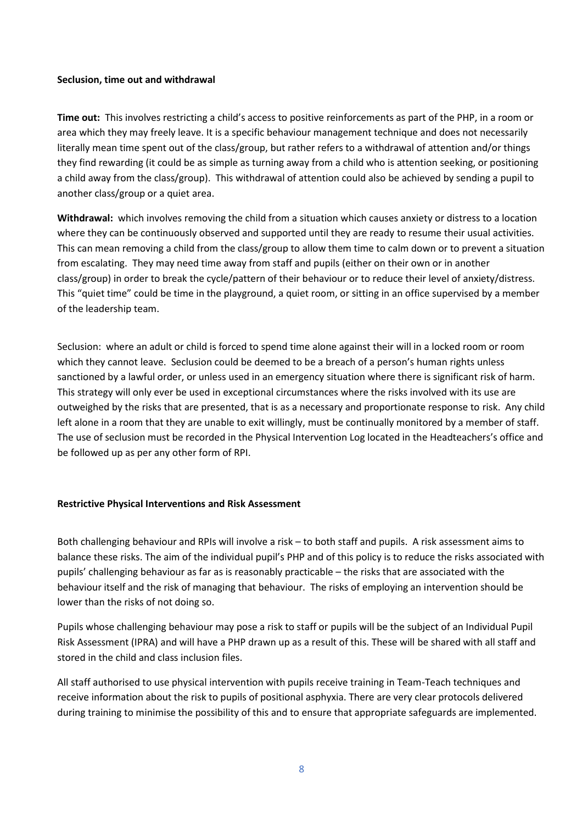#### **Seclusion, time out and withdrawal**

**Time out:** This involves restricting a child's access to positive reinforcements as part of the PHP, in a room or area which they may freely leave. It is a specific behaviour management technique and does not necessarily literally mean time spent out of the class/group, but rather refers to a withdrawal of attention and/or things they find rewarding (it could be as simple as turning away from a child who is attention seeking, or positioning a child away from the class/group). This withdrawal of attention could also be achieved by sending a pupil to another class/group or a quiet area.

**Withdrawal:** which involves removing the child from a situation which causes anxiety or distress to a location where they can be continuously observed and supported until they are ready to resume their usual activities. This can mean removing a child from the class/group to allow them time to calm down or to prevent a situation from escalating. They may need time away from staff and pupils (either on their own or in another class/group) in order to break the cycle/pattern of their behaviour or to reduce their level of anxiety/distress. This "quiet time" could be time in the playground, a quiet room, or sitting in an office supervised by a member of the leadership team.

Seclusion: where an adult or child is forced to spend time alone against their will in a locked room or room which they cannot leave. Seclusion could be deemed to be a breach of a person's human rights unless sanctioned by a lawful order, or unless used in an emergency situation where there is significant risk of harm. This strategy will only ever be used in exceptional circumstances where the risks involved with its use are outweighed by the risks that are presented, that is as a necessary and proportionate response to risk. Any child left alone in a room that they are unable to exit willingly, must be continually monitored by a member of staff. The use of seclusion must be recorded in the Physical Intervention Log located in the Headteachers's office and be followed up as per any other form of RPI.

#### **Restrictive Physical Interventions and Risk Assessment**

Both challenging behaviour and RPIs will involve a risk – to both staff and pupils. A risk assessment aims to balance these risks. The aim of the individual pupil's PHP and of this policy is to reduce the risks associated with pupils' challenging behaviour as far as is reasonably practicable – the risks that are associated with the behaviour itself and the risk of managing that behaviour. The risks of employing an intervention should be lower than the risks of not doing so.

Pupils whose challenging behaviour may pose a risk to staff or pupils will be the subject of an Individual Pupil Risk Assessment (IPRA) and will have a PHP drawn up as a result of this. These will be shared with all staff and stored in the child and class inclusion files.

All staff authorised to use physical intervention with pupils receive training in Team-Teach techniques and receive information about the risk to pupils of positional asphyxia. There are very clear protocols delivered during training to minimise the possibility of this and to ensure that appropriate safeguards are implemented.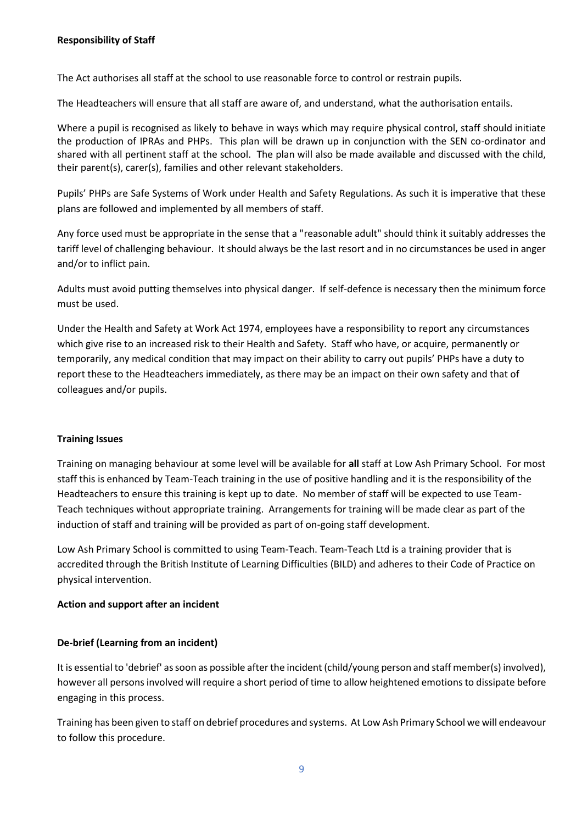The Act authorises all staff at the school to use reasonable force to control or restrain pupils.

The Headteachers will ensure that all staff are aware of, and understand, what the authorisation entails.

Where a pupil is recognised as likely to behave in ways which may require physical control, staff should initiate the production of IPRAs and PHPs. This plan will be drawn up in conjunction with the SEN co-ordinator and shared with all pertinent staff at the school. The plan will also be made available and discussed with the child, their parent(s), carer(s), families and other relevant stakeholders.

Pupils' PHPs are Safe Systems of Work under Health and Safety Regulations. As such it is imperative that these plans are followed and implemented by all members of staff.

Any force used must be appropriate in the sense that a "reasonable adult" should think it suitably addresses the tariff level of challenging behaviour. It should always be the last resort and in no circumstances be used in anger and/or to inflict pain.

Adults must avoid putting themselves into physical danger. If self-defence is necessary then the minimum force must be used.

Under the Health and Safety at Work Act 1974, employees have a responsibility to report any circumstances which give rise to an increased risk to their Health and Safety. Staff who have, or acquire, permanently or temporarily, any medical condition that may impact on their ability to carry out pupils' PHPs have a duty to report these to the Headteachers immediately, as there may be an impact on their own safety and that of colleagues and/or pupils.

# **Training Issues**

Training on managing behaviour at some level will be available for **all** staff at Low Ash Primary School. For most staff this is enhanced by Team-Teach training in the use of positive handling and it is the responsibility of the Headteachers to ensure this training is kept up to date. No member of staff will be expected to use Team-Teach techniques without appropriate training. Arrangements for training will be made clear as part of the induction of staff and training will be provided as part of on-going staff development.

Low Ash Primary School is committed to using Team-Teach. Team-Teach Ltd is a training provider that is accredited through the British Institute of Learning Difficulties (BILD) and adheres to their Code of Practice on physical intervention.

#### **Action and support after an incident**

# **De-brief (Learning from an incident)**

It is essential to 'debrief' as soon as possible after the incident (child/young person and staff member(s) involved), however all persons involved will require a short period of time to allow heightened emotions to dissipate before engaging in this process.

Training has been given to staff on debrief procedures and systems. At Low Ash Primary School we will endeavour to follow this procedure.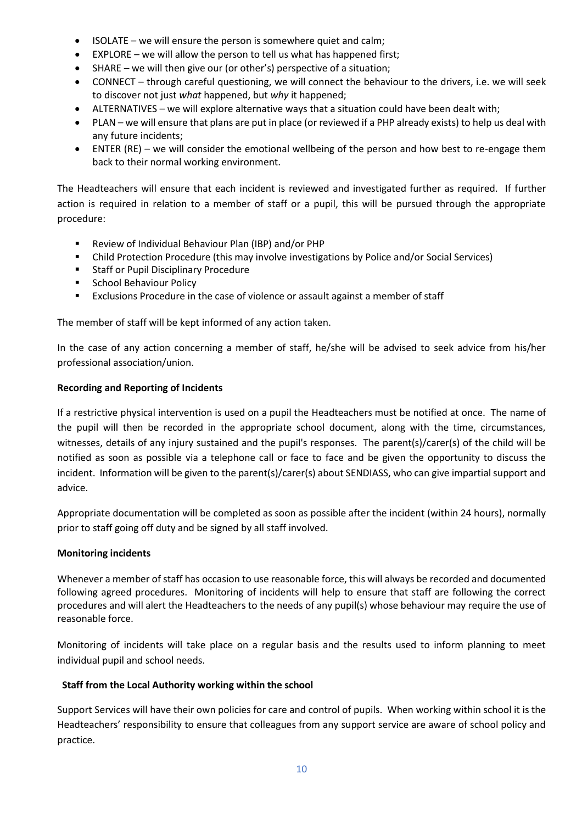- ISOLATE we will ensure the person is somewhere quiet and calm;
- EXPLORE we will allow the person to tell us what has happened first;
- SHARE we will then give our (or other's) perspective of a situation;
- CONNECT through careful questioning, we will connect the behaviour to the drivers, i.e. we will seek to discover not just *what* happened, but *why* it happened;
- ALTERNATIVES we will explore alternative ways that a situation could have been dealt with;
- PLAN we will ensure that plans are put in place (or reviewed if a PHP already exists) to help us deal with any future incidents;
- ENTER (RE) we will consider the emotional wellbeing of the person and how best to re-engage them back to their normal working environment.

The Headteachers will ensure that each incident is reviewed and investigated further as required. If further action is required in relation to a member of staff or a pupil, this will be pursued through the appropriate procedure:

- Review of Individual Behaviour Plan (IBP) and/or PHP
- Child Protection Procedure (this may involve investigations by Police and/or Social Services)
- **Staff or Pupil Disciplinary Procedure**
- School Behaviour Policy
- Exclusions Procedure in the case of violence or assault against a member of staff

The member of staff will be kept informed of any action taken.

In the case of any action concerning a member of staff, he/she will be advised to seek advice from his/her professional association/union.

# **Recording and Reporting of Incidents**

If a restrictive physical intervention is used on a pupil the Headteachers must be notified at once. The name of the pupil will then be recorded in the appropriate school document, along with the time, circumstances, witnesses, details of any injury sustained and the pupil's responses. The parent(s)/carer(s) of the child will be notified as soon as possible via a telephone call or face to face and be given the opportunity to discuss the incident. Information will be given to the parent(s)/carer(s) about SENDIASS, who can give impartial support and advice.

Appropriate documentation will be completed as soon as possible after the incident (within 24 hours), normally prior to staff going off duty and be signed by all staff involved.

# **Monitoring incidents**

Whenever a member of staff has occasion to use reasonable force, this will always be recorded and documented following agreed procedures. Monitoring of incidents will help to ensure that staff are following the correct procedures and will alert the Headteachers to the needs of any pupil(s) whose behaviour may require the use of reasonable force.

Monitoring of incidents will take place on a regular basis and the results used to inform planning to meet individual pupil and school needs.

# **Staff from the Local Authority working within the school**

Support Services will have their own policies for care and control of pupils. When working within school it is the Headteachers' responsibility to ensure that colleagues from any support service are aware of school policy and practice.